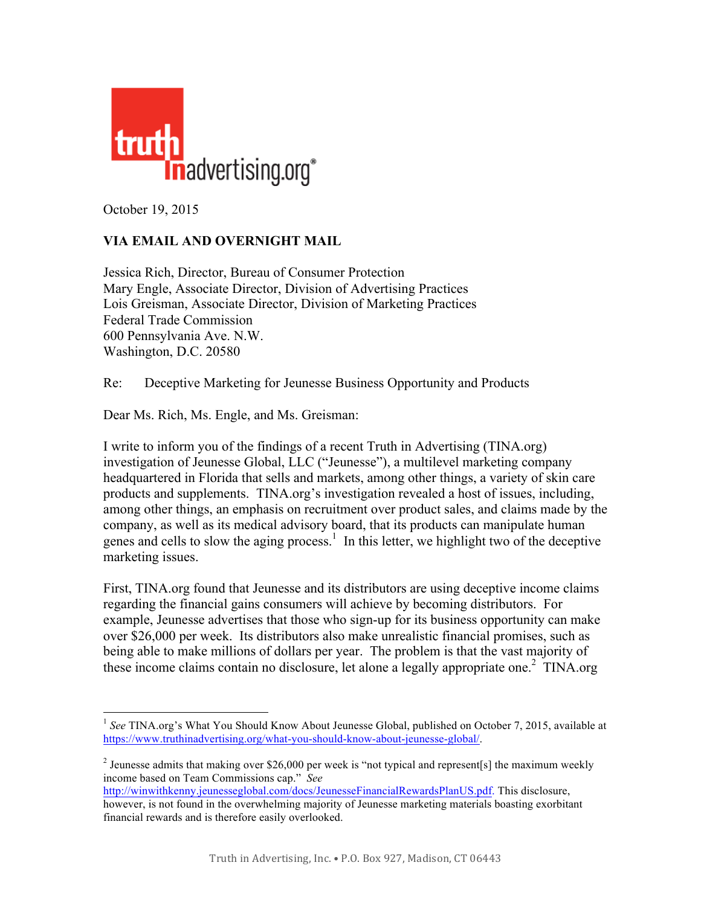

October 19, 2015

## **VIA EMAIL AND OVERNIGHT MAIL**

Jessica Rich, Director, Bureau of Consumer Protection Mary Engle, Associate Director, Division of Advertising Practices Lois Greisman, Associate Director, Division of Marketing Practices Federal Trade Commission 600 Pennsylvania Ave. N.W. Washington, D.C. 20580

Re: Deceptive Marketing for Jeunesse Business Opportunity and Products

Dear Ms. Rich, Ms. Engle, and Ms. Greisman:

I write to inform you of the findings of a recent Truth in Advertising (TINA.org) investigation of Jeunesse Global, LLC ("Jeunesse"), a multilevel marketing company headquartered in Florida that sells and markets, among other things, a variety of skin care products and supplements. TINA.org's investigation revealed a host of issues, including, among other things, an emphasis on recruitment over product sales, and claims made by the company, as well as its medical advisory board, that its products can manipulate human genes and cells to slow the aging process.<sup>1</sup> In this letter, we highlight two of the deceptive marketing issues.

First, TINA.org found that Jeunesse and its distributors are using deceptive income claims regarding the financial gains consumers will achieve by becoming distributors. For example, Jeunesse advertises that those who sign-up for its business opportunity can make over \$26,000 per week. Its distributors also make unrealistic financial promises, such as being able to make millions of dollars per year. The problem is that the vast majority of these income claims contain no disclosure, let alone a legally appropriate one.<sup>2</sup> TINA.org

<sup>&</sup>lt;sup>1</sup> See TINA.org's What You Should Know About Jeunesse Global, published on October 7, 2015, available at [https://www.truthinadvertising.org/what-you-should-know-about-jeunesse-global/.](https://www.truthinadvertising.org/what-you-should-know-about-jeunesse-global/)

<sup>&</sup>lt;sup>2</sup> Jeunesse admits that making over \$26,000 per week is "not typical and represent[s] the maximum weekly income based on Team Commissions cap." *See*

[http://winwithkenny.jeunesseglobal.com/docs/JeunesseFinancialRewardsPlanUS.pdf.](http://winwithkenny.jeunesseglobal.com/docs/JeunesseFinancialRewardsPlanUS.pdf) This disclosure, however, is not found in the overwhelming majority of Jeunesse marketing materials boasting exorbitant financial rewards and is therefore easily overlooked.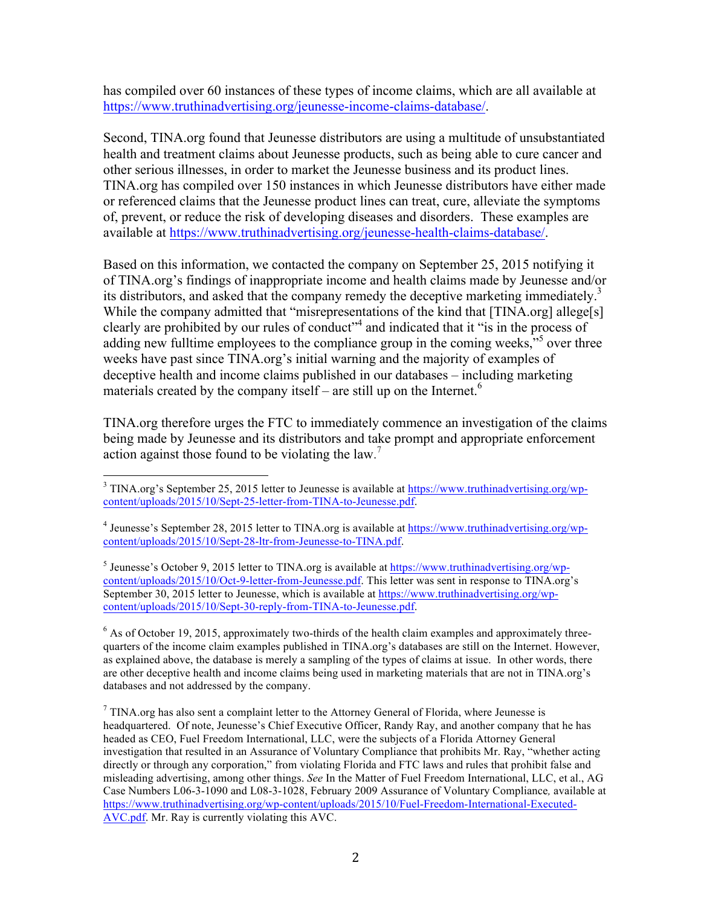has compiled over 60 instances of these types of income claims, which are all available at [https://www.truthinadvertising.org/jeunesse-income-claims-database/.](https://www.truthinadvertising.org/jeunesse-income-claims-database/) 

Second, TINA.org found that Jeunesse distributors are using a multitude of unsubstantiated health and treatment claims about Jeunesse products, such as being able to cure cancer and other serious illnesses, in order to market the Jeunesse business and its product lines. TINA.org has compiled over 150 instances in which Jeunesse distributors have either made or referenced claims that the Jeunesse product lines can treat, cure, alleviate the symptoms of, prevent, or reduce the risk of developing diseases and disorders. These examples are available at [https://www.truthinadvertising.org/jeunesse-health-claims-database/.](https://www.truthinadvertising.org/jeunesse-health-claims-database/) 

Based on this information, we contacted the company on September 25, 2015 notifying it of TINA.org's findings of inappropriate income and health claims made by Jeunesse and/or its distributors, and asked that the company remedy the deceptive marketing immediately.<sup>3</sup> While the company admitted that "misrepresentations of the kind that [TINA.org] allege[s] clearly are prohibited by our rules of conduct" <sup>4</sup> and indicated that it "is in the process of adding new fulltime employees to the compliance group in the coming weeks,"<sup>5</sup> over three weeks have past since TINA.org's initial warning and the majority of examples of deceptive health and income claims published in our databases – including marketing materials created by the company itself – are still up on the Internet.<sup>6</sup>

TINA.org therefore urges the FTC to immediately commence an investigation of the claims being made by Jeunesse and its distributors and take prompt and appropriate enforcement action against those found to be violating the law.<sup>7</sup>

 $<sup>5</sup>$  Jeunesse's October 9, 2015 letter to TINA.org is available at https://www.truthinadvertising.org/wp-</sup> [content/uploads/2015/10/Oct-9-letter-from-Jeunesse.pdf.](https://www.truthinadvertising.org/wp-content/uploads/2015/10/Oct-9-letter-from-Jeunesse.pdf) This letter was sent in response to TINA.org's September 30, 2015 letter to Jeunesse, which is available at [https://www.truthinadvertising.org/wp](https://www.truthinadvertising.org/wp-content/uploads/2015/10/Sept-30-reply-from-TINA-to-Jeunesse.pdf)[content/uploads/2015/10/Sept-30-reply-from-TINA-to-Jeunesse.pdf.](https://www.truthinadvertising.org/wp-content/uploads/2015/10/Sept-30-reply-from-TINA-to-Jeunesse.pdf)

 $6$  As of October 19, 2015, approximately two-thirds of the health claim examples and approximately threequarters of the income claim examples published in TINA.org's databases are still on the Internet. However, as explained above, the database is merely a sampling of the types of claims at issue. In other words, there are other deceptive health and income claims being used in marketing materials that are not in TINA.org's databases and not addressed by the company.

<sup>7</sup> TINA.org has also sent a complaint letter to the Attorney General of Florida, where Jeunesse is headquartered. Of note, Jeunesse's Chief Executive Officer, Randy Ray, and another company that he has headed as CEO, Fuel Freedom International, LLC, were the subjects of a Florida Attorney General investigation that resulted in an Assurance of Voluntary Compliance that prohibits Mr. Ray, "whether acting directly or through any corporation," from violating Florida and FTC laws and rules that prohibit false and misleading advertising, among other things. *See* In the Matter of Fuel Freedom International, LLC, et al., AG Case Numbers L06-3-1090 and L08-3-1028, February 2009 Assurance of Voluntary Compliance*,* available at [https://www.truthinadvertising.org/wp-content/uploads/2015/10/Fuel-Freedom-International-Executed-](https://www.truthinadvertising.org/wp-content/uploads/2015/10/Fuel-Freedom-International-Executed-AVC.pdf)[AVC.pdf.](https://www.truthinadvertising.org/wp-content/uploads/2015/10/Fuel-Freedom-International-Executed-AVC.pdf) Mr. Ray is currently violating this AVC.

<sup>&</sup>lt;sup>3</sup> TINA.org's September 25, 2015 letter to Jeunesse is available at [https://www.truthinadvertising.org/wp](https://www.truthinadvertising.org/wp-content/uploads/2015/10/Sept-25-letter-from-TINA-to-Jeunesse.pdf)[content/uploads/2015/10/Sept-25-letter-from-TINA-to-Jeunesse.pdf.](https://www.truthinadvertising.org/wp-content/uploads/2015/10/Sept-25-letter-from-TINA-to-Jeunesse.pdf)

<sup>4</sup> Jeunesse's September 28, 2015 letter to TINA.org is available at [https://www.truthinadvertising.org/wp](https://www.truthinadvertising.org/wp-content/uploads/2015/10/Sept-28-ltr-from-Jeunesse-to-TINA.pdf)[content/uploads/2015/10/Sept-28-ltr-from-Jeunesse-to-TINA.pdf.](https://www.truthinadvertising.org/wp-content/uploads/2015/10/Sept-28-ltr-from-Jeunesse-to-TINA.pdf)